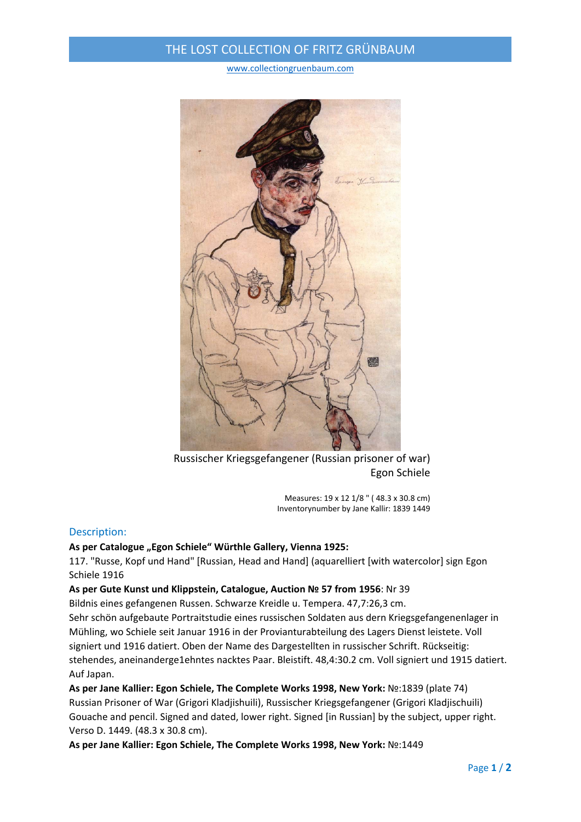## THE LOST COLLECTION OF FRITZ GRÜNBAUM

www.collectiongruenbaum.com



Russischer Kriegsgefangener (Russian prisoner of war) Egon Schiele

Measures: 19 x 12 1/8 " ( 48.3 x 30.8 cm) Inventorynumber by Jane Kallir: 1839 1449

### Description:

#### **As per Catalogue "Egon Schiele" Würthle Gallery, Vienna 1925:**

117. "Russe, Kopf und Hand" [Russian, Head and Hand] (aquarelliert [with watercolor] sign Egon Schiele 1916

#### **As per Gute Kunst und Klippstein, Catalogue, Auction № 57 from 1956**: Nr 39

Bildnis eines gefangenen Russen. Schwarze Kreidle u. Tempera. 47,7:26,3 cm.

Sehr schön aufgebaute Portraitstudie eines russischen Soldaten aus dern Kriegsgefangenenlager in Mühling, wo Schiele seit Januar 1916 in der Provianturabteilung des Lagers Dienst leistete. Voll signiert und 1916 datiert. Oben der Name des Dargestellten in russischer Schrift. Rückseitig: stehendes, aneinanderge1ehntes nacktes Paar. Bleistift. 48,4:30.2 cm. Voll signiert und 1915 datiert. Auf Japan.

**As per Jane Kallier: Egon Schiele, The Complete Works 1998, New York:** №:1839 (plate 74) Russian Prisoner of War (Grigori Kladjishuili), Russischer Kriegsgefangener (Grigori Kladjischuili) Gouache and pencil. Signed and dated, lower right. Signed [in Russian] by the subject, upper right. Verso D. 1449. (48.3 x 30.8 cm).

**As per Jane Kallier: Egon Schiele, The Complete Works 1998, New York:** №:1449